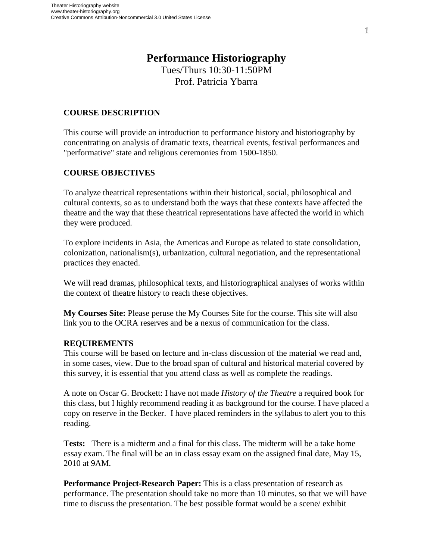# **Performance Historiography**

Tues/Thurs 10:30-11:50PM Prof. Patricia Ybarra

## **COURSE DESCRIPTION**

This course will provide an introduction to performance history and historiography by concentrating on analysis of dramatic texts, theatrical events, festival performances and "performative" state and religious ceremonies from 1500-1850.

# **COURSE OBJECTIVES**

To analyze theatrical representations within their historical, social, philosophical and cultural contexts, so as to understand both the ways that these contexts have affected the theatre and the way that these theatrical representations have affected the world in which they were produced.

To explore incidents in Asia, the Americas and Europe as related to state consolidation, colonization, nationalism(s), urbanization, cultural negotiation, and the representational practices they enacted.

We will read dramas, philosophical texts, and historiographical analyses of works within the context of theatre history to reach these objectives.

**My Courses Site:** Please peruse the My Courses Site for the course. This site will also link you to the OCRA reserves and be a nexus of communication for the class.

## **REQUIREMENTS**

This course will be based on lecture and in-class discussion of the material we read and, in some cases, view. Due to the broad span of cultural and historical material covered by this survey, it is essential that you attend class as well as complete the readings.

A note on Oscar G. Brockett: I have not made *History of the Theatre* a required book for this class, but I highly recommend reading it as background for the course. I have placed a copy on reserve in the Becker. I have placed reminders in the syllabus to alert you to this reading.

**Tests:** There is a midterm and a final for this class. The midterm will be a take home essay exam. The final will be an in class essay exam on the assigned final date, May 15, 2010 at 9AM.

**Performance Project-Research Paper:** This is a class presentation of research as performance. The presentation should take no more than 10 minutes, so that we will have time to discuss the presentation. The best possible format would be a scene/ exhibit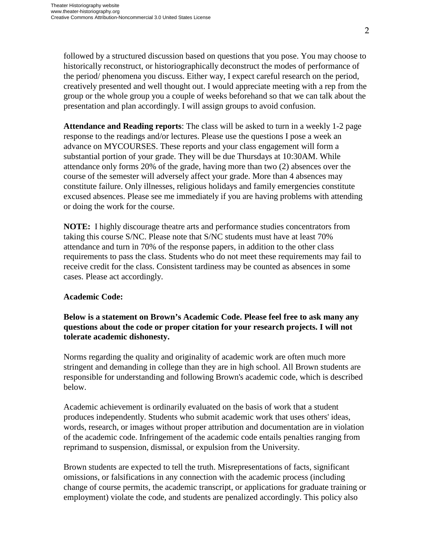followed by a structured discussion based on questions that you pose. You may choose to historically reconstruct, or historiographically deconstruct the modes of performance of the period/ phenomena you discuss. Either way, I expect careful research on the period, creatively presented and well thought out. I would appreciate meeting with a rep from the group or the whole group you a couple of weeks beforehand so that we can talk about the presentation and plan accordingly. I will assign groups to avoid confusion.

**Attendance and Reading reports**: The class will be asked to turn in a weekly 1-2 page response to the readings and/or lectures. Please use the questions I pose a week an advance on MYCOURSES. These reports and your class engagement will form a substantial portion of your grade. They will be due Thursdays at 10:30AM. While attendance only forms 20% of the grade, having more than two (2) absences over the course of the semester will adversely affect your grade. More than 4 absences may constitute failure. Only illnesses, religious holidays and family emergencies constitute excused absences. Please see me immediately if you are having problems with attending or doing the work for the course.

**NOTE:** I highly discourage theatre arts and performance studies concentrators from taking this course S/NC. Please note that S/NC students must have at least 70% attendance and turn in 70% of the response papers, in addition to the other class requirements to pass the class. Students who do not meet these requirements may fail to receive credit for the class. Consistent tardiness may be counted as absences in some cases. Please act accordingly.

#### **Academic Code:**

# **Below is a statement on Brown's Academic Code. Please feel free to ask many any questions about the code or proper citation for your research projects. I will not tolerate academic dishonesty.**

Norms regarding the quality and originality of academic work are often much more stringent and demanding in college than they are in high school. All Brown students are responsible for understanding and following Brown's academic code, which is described below.

Academic achievement is ordinarily evaluated on the basis of work that a student produces independently. Students who submit academic work that uses others' ideas, words, research, or images without proper attribution and documentation are in violation of the academic code. Infringement of the academic code entails penalties ranging from reprimand to suspension, dismissal, or expulsion from the University.

Brown students are expected to tell the truth. Misrepresentations of facts, significant omissions, or falsifications in any connection with the academic process (including change of course permits, the academic transcript, or applications for graduate training or employment) violate the code, and students are penalized accordingly. This policy also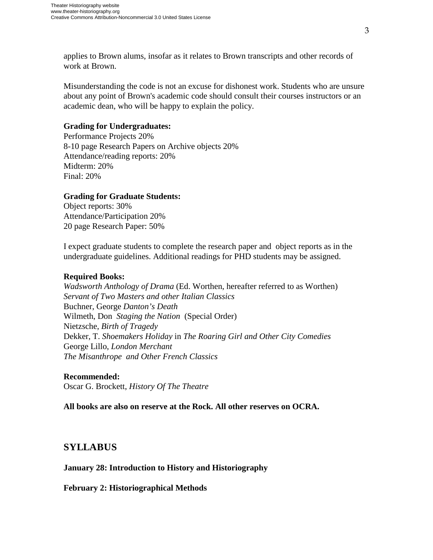applies to Brown alums, insofar as it relates to Brown transcripts and other records of work at Brown.

Misunderstanding the code is not an excuse for dishonest work. Students who are unsure about any point of Brown's academic code should consult their courses instructors or an academic dean, who will be happy to explain the policy.

#### **Grading for Undergraduates:**

Performance Projects 20% 8-10 page Research Papers on Archive objects 20% Attendance/reading reports: 20% Midterm: 20% Final: 20%

## **Grading for Graduate Students:**

Object reports: 30% Attendance/Participation 20% 20 page Research Paper: 50%

I expect graduate students to complete the research paper and object reports as in the undergraduate guidelines. Additional readings for PHD students may be assigned.

## **Required Books:**

*Wadsworth Anthology of Drama* (Ed. Worthen, hereafter referred to as Worthen) *Servant of Two Masters and other Italian Classics* Buchner, George *Danton's Death* Wilmeth, Don *Staging the Nation* (Special Order) Nietzsche, *Birth of Tragedy* Dekker, T. *Shoemakers Holiday* in *The Roaring Girl and Other City Comedies*  George Lillo, *London Merchant The Misanthrope and Other French Classics* 

#### **Recommended:**

Oscar G. Brockett, *History Of The Theatre* 

**All books are also on reserve at the Rock. All other reserves on OCRA.** 

# **SYLLABUS**

## **January 28: Introduction to History and Historiography**

**February 2: Historiographical Methods**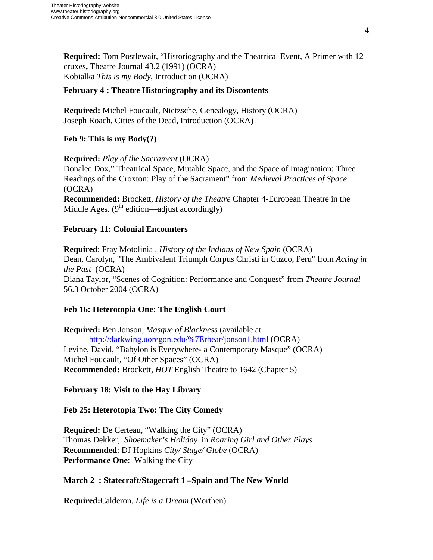**Required:** Tom Postlewait, "Historiography and the Theatrical Event, A Primer with 12 cruxes**,** Theatre Journal 43.2 (1991) (OCRA) Kobialka *This is my Body*, Introduction (OCRA)

#### **February 4 : Theatre Historiography and its Discontents**

**Required:** Michel Foucault, Nietzsche, Genealogy, History (OCRA) Joseph Roach, Cities of the Dead, Introduction (OCRA)

## **Feb 9: This is my Body(?)**

## **Required:** *Play of the Sacrament* (OCRA)

Donalee Dox," Theatrical Space, Mutable Space, and the Space of Imagination: Three Readings of the Croxton: Play of the Sacrament" from *Medieval Practices of Space*. (OCRA)

**Recommended:** Brockett, *History of the Theatre* Chapter 4-European Theatre in the Middle Ages.  $(9<sup>th</sup>$  edition—adjust accordingly)

## **February 11: Colonial Encounters**

**Required**: Fray Motolinia . *History of the Indians of New Spain* (OCRA) Dean, Carolyn, "The Ambivalent Triumph Corpus Christi in Cuzco, Peru" from *Acting in the Past* (OCRA) Diana Taylor, "Scenes of Cognition: Performance and Conquest" from *Theatre Journal* 56.3 October 2004 (OCRA)

#### **Feb 16: Heterotopia One: The English Court**

**Required:** Ben Jonson, *Masque of Blackness* (available at [http://darkwing.uoregon.edu/%7Erbear/jonson1.html](http://darkwing.uoregon.edu/~rbear/jonson1.html) (OCRA) Levine, David, "Babylon is Everywhere- a Contemporary Masque" (OCRA) Michel Foucault, "Of Other Spaces" (OCRA) **Recommended:** Brockett, *HOT* English Theatre to 1642 (Chapter 5)

**February 18: Visit to the Hay Library** 

## **Feb 25: Heterotopia Two: The City Comedy**

**Required:** De Certeau, "Walking the City" (OCRA) Thomas Dekker, *Shoemaker's Holiday* in *Roaring Girl and Other Plays*  **Recommended**: DJ Hopkins *City/ Stage/ Globe* (OCRA) **Performance One**: Walking the City

## **March 2 : Statecraft/Stagecraft 1 –Spain and The New World**

**Required:**Calderon, *Life is a Dream* (Worthen)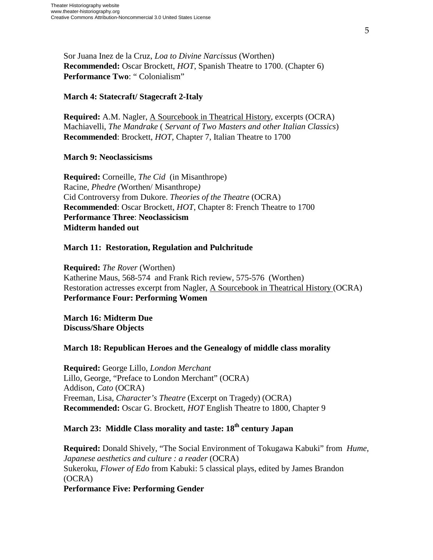Sor Juana Inez de la Cruz, *Loa to Divine Narcissus* (Worthen) **Recommended:** Oscar Brockett, *HOT*, Spanish Theatre to 1700. (Chapter 6) **Performance Two**: " Colonialism"

## **March 4: Statecraft/ Stagecraft 2-Italy**

**Required:** A.M. Nagler, A Sourcebook in Theatrical History, excerpts (OCRA) Machiavelli, *The Mandrake* ( *Servant of Two Masters and other Italian Classics*) **Recommended**: Brockett, *HOT*, Chapter 7, Italian Theatre to 1700

#### **March 9: Neoclassicisms**

**Required:** Corneille, *The Cid* (in Misanthrope) Racine, *Phedre (*Worthen/ Misanthrope*)* Cid Controversy from Dukore. *Theories of the Theatre* (OCRA) **Recommended**: Oscar Brockett, *HOT*, Chapter 8: French Theatre to 1700 **Performance Three**: **Neoclassicism Midterm handed out**

## **March 11: Restoration, Regulation and Pulchritude**

**Required:** *The Rover* (Worthen) Katherine Maus, 568-574 and Frank Rich review, 575-576 (Worthen) Restoration actresses excerpt from Nagler, A Sourcebook in Theatrical History (OCRA) **Performance Four: Performing Women** 

**March 16: Midterm Due Discuss/Share Objects**

## **March 18: Republican Heroes and the Genealogy of middle class morality**

**Required:** George Lillo, *London Merchant*  Lillo, George, "Preface to London Merchant" (OCRA) Addison, *Cato* (OCRA) Freeman, Lisa, *Character's Theatre* (Excerpt on Tragedy) (OCRA) **Recommended:** Oscar G. Brockett, *HOT* English Theatre to 1800, Chapter 9

# **March 23: Middle Class morality and taste: 18<sup>th</sup> century Japan**

**Required:** Donald Shively, "The Social Environment of Tokugawa Kabuki" from *Hume, Japanese aesthetics and culture : a reader* (OCRA) Sukeroku, *Flower of Edo* from Kabuki: 5 classical plays, edited by James Brandon (OCRA) **Performance Five: Performing Gender**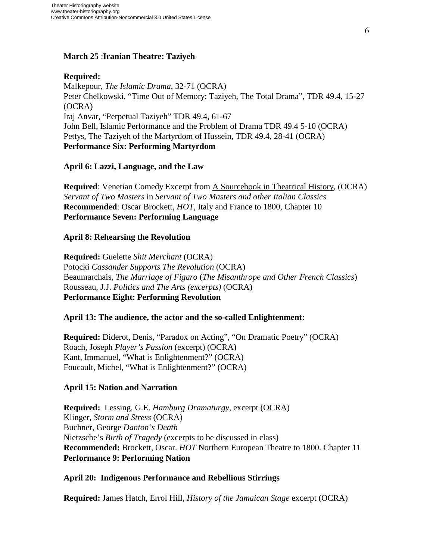# **March 25** :**Iranian Theatre: Taziyeh**

# **Required:**

Malkepour, *The Islamic Drama*, 32-71 (OCRA) Peter Chelkowski, "Time Out of Memory: Taziyeh, The Total Drama", TDR 49.4, 15-27 (OCRA) Iraj Anvar, "Perpetual Taziyeh" TDR 49.4, 61-67 John Bell, Islamic Performance and the Problem of Drama TDR 49.4 5-10 (OCRA) Pettys, The Taziyeh of the Martyrdom of Hussein, TDR 49.4, 28-41 (OCRA) **Performance Six: Performing Martyrdom**

# **April 6: Lazzi, Language, and the Law**

**Required**: Venetian Comedy Excerpt from A Sourcebook in Theatrical History, (OCRA) *Servant of Two Masters* in *Servant of Two Masters and other Italian Classics*  **Recommended**: Oscar Brockett, *HOT*, Italy and France to 1800, Chapter 10 **Performance Seven: Performing Language** 

## **April 8: Rehearsing the Revolution**

**Required:** Guelette *Shit Merchant* (OCRA) Potocki *Cassander Supports The Revolution* (OCRA) Beaumarchais, *The Marriage of Figaro* (*The Misanthrope and Other French Classics*) Rousseau, J.J. *Politics and The Arts (excerpts)* (OCRA) **Performance Eight: Performing Revolution** 

## **April 13: The audience, the actor and the so-called Enlightenment:**

**Required:** Diderot, Denis, "Paradox on Acting", "On Dramatic Poetry" (OCRA) Roach, Joseph *Player's Passion* (excerpt) (OCRA) Kant, Immanuel, "What is Enlightenment?" (OCRA) Foucault, Michel, "What is Enlightenment?" (OCRA)

## **April 15: Nation and Narration**

**Required:** Lessing, G.E. *Hamburg Dramaturgy*, excerpt (OCRA) Klinger, *Storm and Stress* (OCRA) Buchner*,* George *Danton's Death*  Nietzsche's *Birth of Tragedy* (excerpts to be discussed in class) **Recommended:** Brockett, Oscar. *HOT* Northern European Theatre to 1800. Chapter 11 **Performance 9: Performing Nation** 

## **April 20: Indigenous Performance and Rebellious Stirrings**

**Required:** James Hatch, Errol Hill, *History of the Jamaican Stage* excerpt (OCRA)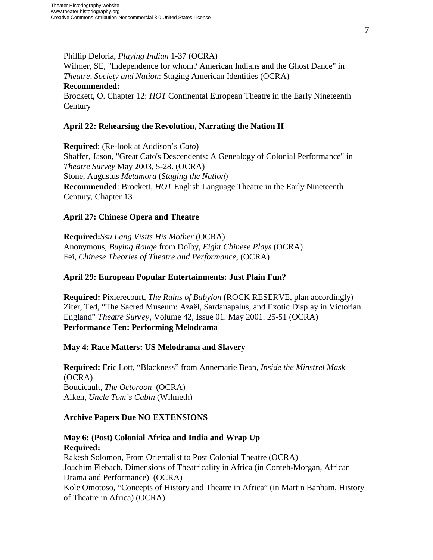Phillip Deloria, *Playing Indian* 1-37 (OCRA) Wilmer, SE, "Independence for whom? American Indians and the Ghost Dance" in *Theatre, Society and Nation*: Staging American Identities (OCRA) **Recommended:** Brockett, O. Chapter 12: *HOT* Continental European Theatre in the Early Nineteenth **Century** 

## **April 22: Rehearsing the Revolution, Narrating the Nation II**

**Required**: (Re-look at Addison's *Cato*) Shaffer, Jason, "Great Cato's Descendents: A Genealogy of Colonial Performance" in *Theatre Survey* May 2003, 5-28. (OCRA) Stone, Augustus *Metamora* (*Staging the Nation*) **Recommended**: Brockett, *HOT* English Language Theatre in the Early Nineteenth Century, Chapter 13

# **April 27: Chinese Opera and Theatre**

**Required:***Ssu Lang Visits His Mother* (OCRA) Anonymous*, Buying Rouge* from Dolby, *Eight Chinese Plays* (OCRA) Fei, *Chinese Theories of Theatre and Performance*, (OCRA)

# **April 29: European Popular Entertainments: Just Plain Fun?**

**Required:** Pixierecourt, *The Ruins of Babylon* (ROCK RESERVE, plan accordingly) Ziter, Ted, "The Sacred Museum: Azaël, Sardanapalus, and Exotic Display in Victorian England" *Theatre Survey*, Volume 42, Issue 01. May 2001. 25-51 (OCRA) **Performance Ten: Performing Melodrama**

## **May 4: Race Matters: US Melodrama and Slavery**

**Required:** Eric Lott, "Blackness" from Annemarie Bean, *Inside the Minstrel Mask*  (OCRA) Boucicault, *The Octoroon* (OCRA) Aiken, *Uncle Tom's Cabin* (Wilmeth)

## **Archive Papers Due NO EXTENSIONS**

# **May 6: (Post) Colonial Africa and India and Wrap Up Required:**  Rakesh Solomon, From Orientalist to Post Colonial Theatre (OCRA) Joachim Fiebach, Dimensions of Theatricality in Africa (in Conteh-Morgan, African Drama and Performance) (OCRA) Kole Omotoso, "Concepts of History and Theatre in Africa" (in Martin Banham, History of Theatre in Africa) (OCRA)